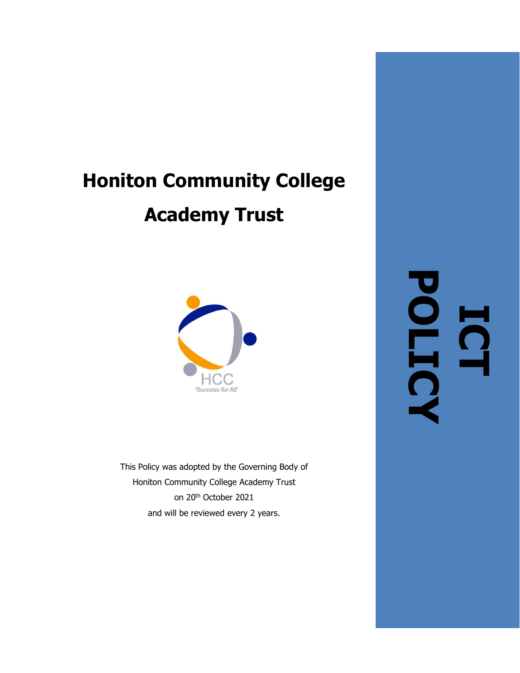# **Honiton Community College Academy Trust**



This Policy was adopted by the Governing Body of Honiton Community College Academy Trust on 20th October 2021 and will be reviewed every 2 years.

**ICT POLICY**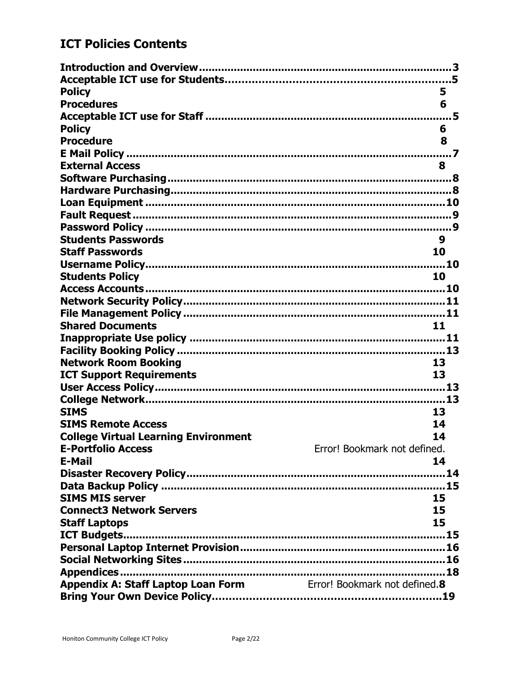## **ICT Policies Contents**

| <b>Policy</b>                                                    | 5                            |
|------------------------------------------------------------------|------------------------------|
| <b>Procedures</b>                                                | 6                            |
|                                                                  | .5                           |
| <b>Policy</b>                                                    | 6                            |
| <b>Procedure</b>                                                 | 8                            |
|                                                                  | $\cdots$ 7                   |
| <b>External Access</b>                                           | 8                            |
|                                                                  |                              |
|                                                                  |                              |
|                                                                  |                              |
|                                                                  |                              |
|                                                                  |                              |
| <b>Students Passwords</b>                                        | 9                            |
| <b>Staff Passwords</b>                                           | 10                           |
|                                                                  |                              |
| <b>Students Policy</b>                                           | 10                           |
|                                                                  |                              |
|                                                                  |                              |
|                                                                  |                              |
| <b>Shared Documents</b>                                          | 11                           |
|                                                                  |                              |
|                                                                  |                              |
| <b>Network Room Booking</b>                                      | 13                           |
| <b>ICT Support Requirements</b>                                  | 13                           |
|                                                                  |                              |
|                                                                  |                              |
| <b>SIMS</b>                                                      | 13                           |
| <b>SIMS Remote Access</b>                                        | 14                           |
| <b>College Virtual Learning Environment</b>                      | 14                           |
| <b>E-Portfolio Access</b>                                        | Error! Bookmark not defined. |
| <b>E-Mail</b>                                                    | 14                           |
|                                                                  |                              |
|                                                                  |                              |
| <b>SIMS MIS server</b>                                           | 15                           |
| <b>Connect3 Network Servers</b>                                  | 15                           |
| <b>Staff Laptops</b>                                             | 15                           |
|                                                                  |                              |
|                                                                  |                              |
|                                                                  |                              |
|                                                                  |                              |
| Appendix A: Staff Laptop Loan Form Error! Bookmark not defined.8 |                              |
|                                                                  |                              |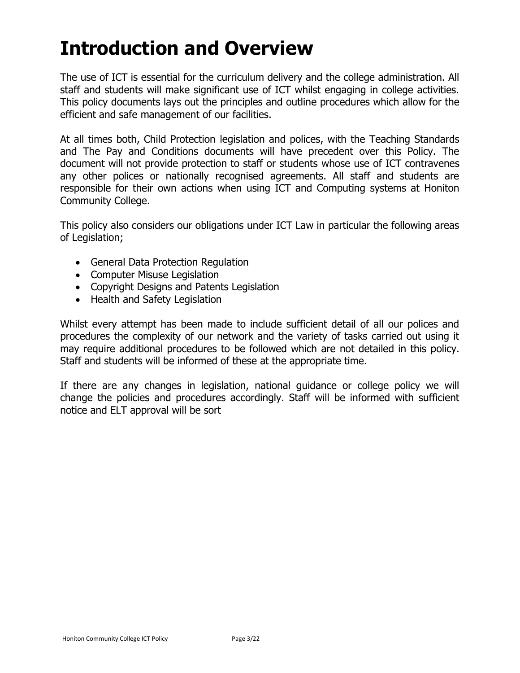# <span id="page-2-0"></span>**Introduction and Overview**

The use of ICT is essential for the curriculum delivery and the college administration. All staff and students will make significant use of ICT whilst engaging in college activities. This policy documents lays out the principles and outline procedures which allow for the efficient and safe management of our facilities.

At all times both, Child Protection legislation and polices, with the Teaching Standards and The Pay and Conditions documents will have precedent over this Policy. The document will not provide protection to staff or students whose use of ICT contravenes any other polices or nationally recognised agreements. All staff and students are responsible for their own actions when using ICT and Computing systems at Honiton Community College.

This policy also considers our obligations under ICT Law in particular the following areas of Legislation;

- General Data Protection Regulation
- Computer Misuse Legislation
- Copyright Designs and Patents Legislation
- Health and Safety Legislation

Whilst every attempt has been made to include sufficient detail of all our polices and procedures the complexity of our network and the variety of tasks carried out using it may require additional procedures to be followed which are not detailed in this policy. Staff and students will be informed of these at the appropriate time.

If there are any changes in legislation, national guidance or college policy we will change the policies and procedures accordingly. Staff will be informed with sufficient notice and ELT approval will be sort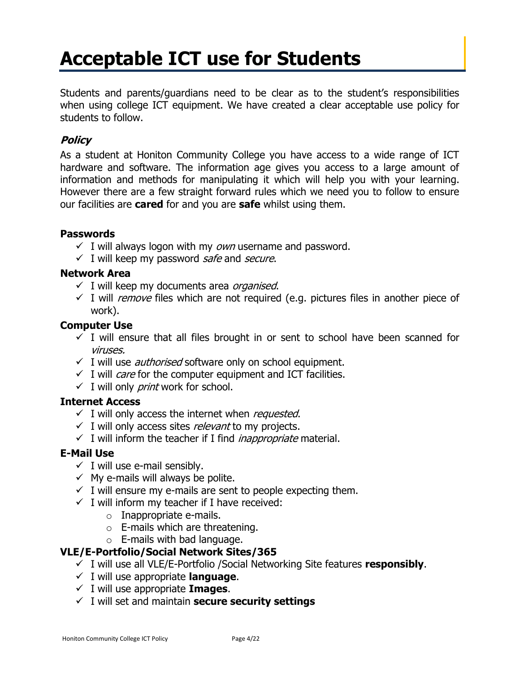# **Acceptable ICT use for Students**

Students and parents/guardians need to be clear as to the student's responsibilities when using college ICT equipment. We have created a clear acceptable use policy for students to follow.

### **Policy**

As a student at Honiton Community College you have access to a wide range of ICT hardware and software. The information age gives you access to a large amount of information and methods for manipulating it which will help you with your learning. However there are a few straight forward rules which we need you to follow to ensure our facilities are **cared** for and you are **safe** whilst using them.

#### **Passwords**

- $\checkmark$  I will always logon with my own username and password.
- $\checkmark$  I will keep my password *safe* and *secure*.

#### **Network Area**

- $\checkmark$  I will keep my documents area *organised*.
- $\checkmark$  I will *remove* files which are not required (e.g. pictures files in another piece of work).

#### **Computer Use**

- $\checkmark$  I will ensure that all files brought in or sent to school have been scanned for viruses.
- $\checkmark$  I will use *authorised* software only on school equipment.
- $\checkmark$  I will *care* for the computer equipment and ICT facilities.
- $\checkmark$  I will only *print* work for school.

#### **Internet Access**

- $\checkmark$  I will only access the internet when *requested*.
- $\checkmark$  I will only access sites *relevant* to my projects.
- $\checkmark$  I will inform the teacher if I find *inappropriate* material.

#### **E-Mail Use**

- $\checkmark$  I will use e-mail sensibly.
- $\checkmark$  My e-mails will always be polite.
- $\checkmark$  I will ensure my e-mails are sent to people expecting them.
- $\checkmark$  I will inform my teacher if I have received:
	- $\circ$  Inappropriate e-mails.
	- $\circ$  E-mails which are threatening.
	- $\circ$  E-mails with bad language.

### **VLE/E-Portfolio/Social Network Sites/365**

- ✓ I will use all VLE/E-Portfolio /Social Networking Site features **responsibly**.
- ✓ I will use appropriate **language**.
- ✓ I will use appropriate **Images**.
- ✓ I will set and maintain **secure security settings**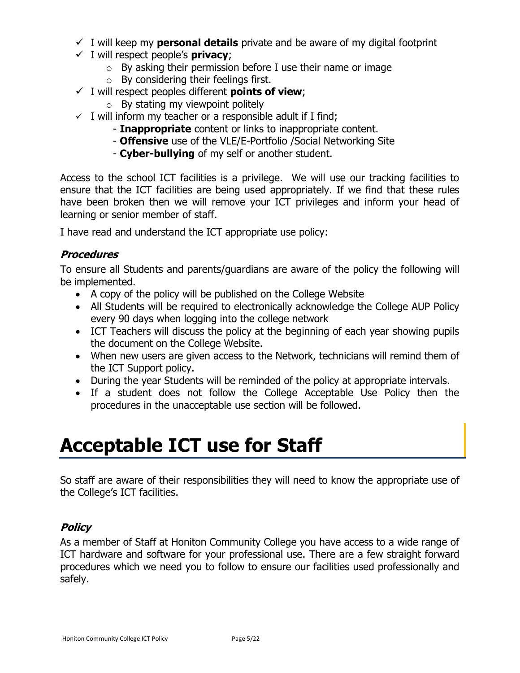- $\checkmark$  I will keep my **personal details** private and be aware of my digital footprint
- ✓ I will respect people's **privacy**;
	- $\circ$  By asking their permission before I use their name or image
	- o By considering their feelings first.
- ✓ I will respect peoples different **points of view**;
	- $\circ$  By stating my viewpoint politely
- $\checkmark$  I will inform my teacher or a responsible adult if I find;
	- **Inappropriate** content or links to inappropriate content.
	- **Offensive** use of the VLE/E-Portfolio /Social Networking Site
	- **Cyber-bullying** of my self or another student.

Access to the school ICT facilities is a privilege. We will use our tracking facilities to ensure that the ICT facilities are being used appropriately. If we find that these rules have been broken then we will remove your ICT privileges and inform your head of learning or senior member of staff.

I have read and understand the ICT appropriate use policy:

#### **Procedures**

To ensure all Students and parents/guardians are aware of the policy the following will be implemented.

- A copy of the policy will be published on the College Website
- All Students will be required to electronically acknowledge the College AUP Policy every 90 days when logging into the college network
- ICT Teachers will discuss the policy at the beginning of each year showing pupils the document on the College Website.
- When new users are given access to the Network, technicians will remind them of the ICT Support policy.
- During the year Students will be reminded of the policy at appropriate intervals.
- If a student does not follow the College Acceptable Use Policy then the procedures in the unacceptable use section will be followed.

## <span id="page-4-0"></span>**Acceptable ICT use for Staff**

So staff are aware of their responsibilities they will need to know the appropriate use of the College's ICT facilities.

### **Policy**

As a member of Staff at Honiton Community College you have access to a wide range of ICT hardware and software for your professional use. There are a few straight forward procedures which we need you to follow to ensure our facilities used professionally and safely.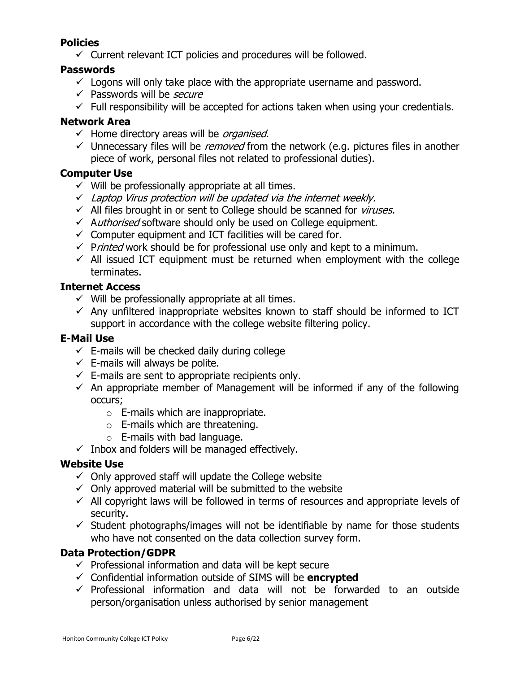### **Policies**

 $\checkmark$  Current relevant ICT policies and procedures will be followed.

### **Passwords**

- $\checkmark$  Logons will only take place with the appropriate username and password.
- ✓ Passwords will be *secure*
- $\checkmark$  Full responsibility will be accepted for actions taken when using your credentials.

### **Network Area**

- $\checkmark$  Home directory areas will be *organised*.
- $\checkmark$  Unnecessary files will be *removed* from the network (e.g. pictures files in another piece of work, personal files not related to professional duties).

### **Computer Use**

- $\checkmark$  Will be professionally appropriate at all times.
- $\checkmark$  Laptop Virus protection will be updated via the internet weekly.
- $\checkmark$  All files brought in or sent to College should be scanned for *viruses.*
- ✓ Authorised software should only be used on College equipment.
- $\checkmark$  Computer equipment and ICT facilities will be cared for.
- $\checkmark$  Printed work should be for professional use only and kept to a minimum.
- $\checkmark$  All issued ICT equipment must be returned when employment with the college terminates.

### **Internet Access**

- $\checkmark$  Will be professionally appropriate at all times.
- $\checkmark$  Any unfiltered inappropriate websites known to staff should be informed to ICT support in accordance with the college website filtering policy.

### **E-Mail Use**

- $\checkmark$  E-mails will be checked daily during college
- $\checkmark$  E-mails will always be polite.
- $\checkmark$  E-mails are sent to appropriate recipients only.
- $\checkmark$  An appropriate member of Management will be informed if any of the following occurs;
	- o E-mails which are inappropriate.
	- $\circ$  E-mails which are threatening.
	- $\circ$  E-mails with bad language.
- $\checkmark$  Inbox and folders will be managed effectively.

### **Website Use**

- $\checkmark$  Only approved staff will update the College website
- $\checkmark$  Only approved material will be submitted to the website
- $\checkmark$  All copyright laws will be followed in terms of resources and appropriate levels of security.
- $\checkmark$  Student photographs/images will not be identifiable by name for those students who have not consented on the data collection survey form.

### **Data Protection/GDPR**

- $\checkmark$  Professional information and data will be kept secure
- ✓ Confidential information outside of SIMS will be **encrypted**
- $\checkmark$  Professional information and data will not be forwarded to an outside person/organisation unless authorised by senior management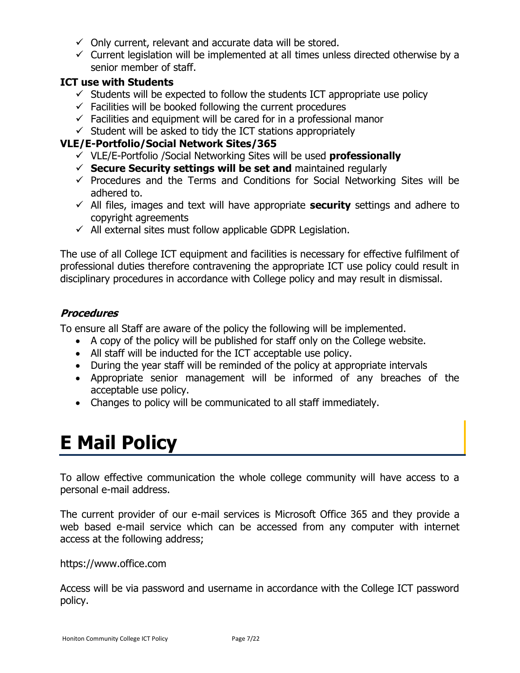- $\checkmark$  Only current, relevant and accurate data will be stored.
- $\checkmark$  Current legislation will be implemented at all times unless directed otherwise by a senior member of staff.

### **ICT use with Students**

- $\checkmark$  Students will be expected to follow the students ICT appropriate use policy
- $\checkmark$  Facilities will be booked following the current procedures
- $\checkmark$  Facilities and equipment will be cared for in a professional manor
- $\checkmark$  Student will be asked to tidy the ICT stations appropriately

### **VLE/E-Portfolio/Social Network Sites/365**

- ✓ VLE/E-Portfolio /Social Networking Sites will be used **professionally**
- ✓ **Secure Security settings will be set and** maintained regularly
- $\checkmark$  Procedures and the Terms and Conditions for Social Networking Sites will be adhered to.
- ✓ All files, images and text will have appropriate **security** settings and adhere to copyright agreements
- $\checkmark$  All external sites must follow applicable GDPR Legislation.

The use of all College ICT equipment and facilities is necessary for effective fulfilment of professional duties therefore contravening the appropriate ICT use policy could result in disciplinary procedures in accordance with College policy and may result in dismissal.

### **Procedures**

To ensure all Staff are aware of the policy the following will be implemented.

- A copy of the policy will be published for staff only on the College website.
- All staff will be inducted for the ICT acceptable use policy.
- During the year staff will be reminded of the policy at appropriate intervals
- Appropriate senior management will be informed of any breaches of the acceptable use policy.
- Changes to policy will be communicated to all staff immediately.

# <span id="page-6-0"></span>**E Mail Policy**

To allow effective communication the whole college community will have access to a personal e-mail address.

The current provider of our e-mail services is Microsoft Office 365 and they provide a web based e-mail service which can be accessed from any computer with internet access at the following address;

https://www.office.com

Access will be via password and username in accordance with the College ICT password policy.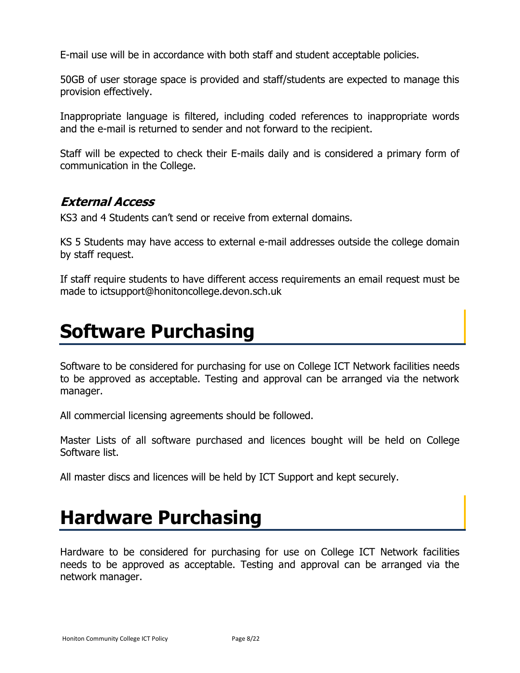E-mail use will be in accordance with both staff and student acceptable policies.

50GB of user storage space is provided and staff/students are expected to manage this provision effectively.

Inappropriate language is filtered, including coded references to inappropriate words and the e-mail is returned to sender and not forward to the recipient.

Staff will be expected to check their E-mails daily and is considered a primary form of communication in the College.

## <span id="page-7-0"></span>**External Access**

KS3 and 4 Students can't send or receive from external domains.

KS 5 Students may have access to external e-mail addresses outside the college domain by staff request.

If staff require students to have different access requirements an email request must be made to ictsupport@honitoncollege.devon.sch.uk

## <span id="page-7-1"></span>**Software Purchasing**

Software to be considered for purchasing for use on College ICT Network facilities needs to be approved as acceptable. Testing and approval can be arranged via the network manager.

All commercial licensing agreements should be followed.

Master Lists of all software purchased and licences bought will be held on College Software list.

All master discs and licences will be held by ICT Support and kept securely.

## <span id="page-7-2"></span>**Hardware Purchasing**

Hardware to be considered for purchasing for use on College ICT Network facilities needs to be approved as acceptable. Testing and approval can be arranged via the network manager.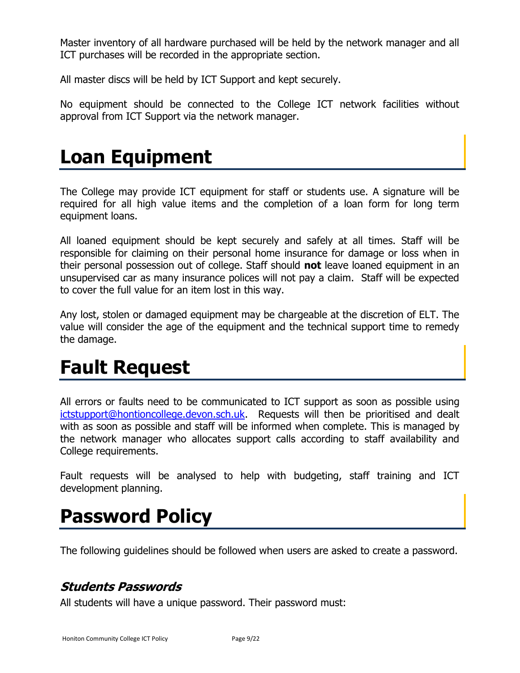Master inventory of all hardware purchased will be held by the network manager and all ICT purchases will be recorded in the appropriate section.

All master discs will be held by ICT Support and kept securely.

No equipment should be connected to the College ICT network facilities without approval from ICT Support via the network manager.

## <span id="page-8-0"></span>**Loan Equipment**

The College may provide ICT equipment for staff or students use. A signature will be required for all high value items and the completion of a loan form for long term equipment loans.

All loaned equipment should be kept securely and safely at all times. Staff will be responsible for claiming on their personal home insurance for damage or loss when in their personal possession out of college. Staff should **not** leave loaned equipment in an unsupervised car as many insurance polices will not pay a claim. Staff will be expected to cover the full value for an item lost in this way.

Any lost, stolen or damaged equipment may be chargeable at the discretion of ELT. The value will consider the age of the equipment and the technical support time to remedy the damage.

# <span id="page-8-1"></span>**Fault Request**

All errors or faults need to be communicated to ICT support as soon as possible using [ictstupport@hontioncollege.devon.sch.uk.](mailto:ictstupport@hontioncollege.devon.sch.uk) Requests will then be prioritised and dealt with as soon as possible and staff will be informed when complete. This is managed by the network manager who allocates support calls according to staff availability and College requirements.

Fault requests will be analysed to help with budgeting, staff training and ICT development planning.

# <span id="page-8-2"></span>**Password Policy**

The following guidelines should be followed when users are asked to create a password.

## <span id="page-8-3"></span>**Students Passwords**

All students will have a unique password. Their password must: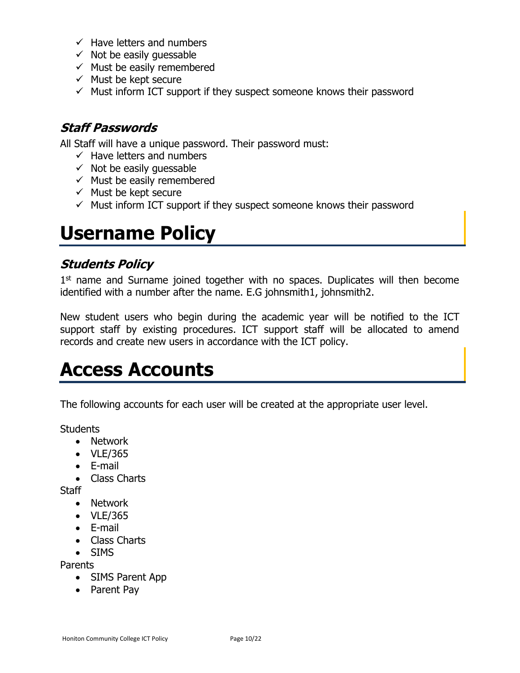- $\checkmark$  Have letters and numbers
- $\checkmark$  Not be easily quessable
- $\checkmark$  Must be easily remembered
- $\checkmark$  Must be kept secure
- $\checkmark$  Must inform ICT support if they suspect someone knows their password

## <span id="page-9-0"></span>**Staff Passwords**

All Staff will have a unique password. Their password must:

- $\checkmark$  Have letters and numbers
- $\checkmark$  Not be easily quessable
- $\checkmark$  Must be easily remembered
- $\checkmark$  Must be kept secure
- $\checkmark$  Must inform ICT support if they suspect someone knows their password

## <span id="page-9-1"></span>**Username Policy**

### <span id="page-9-2"></span>**Students Policy**

1<sup>st</sup> name and Surname joined together with no spaces. Duplicates will then become identified with a number after the name. E.G johnsmith1, johnsmith2.

New student users who begin during the academic year will be notified to the ICT support staff by existing procedures. ICT support staff will be allocated to amend records and create new users in accordance with the ICT policy.

## <span id="page-9-3"></span>**Access Accounts**

The following accounts for each user will be created at the appropriate user level.

**Students** 

- Network
- VLE/365
- E-mail
- Class Charts

**Staff** 

- Network
- VLE/365
- E-mail
- Class Charts
- SIMS

Parents

- SIMS Parent App
- Parent Pay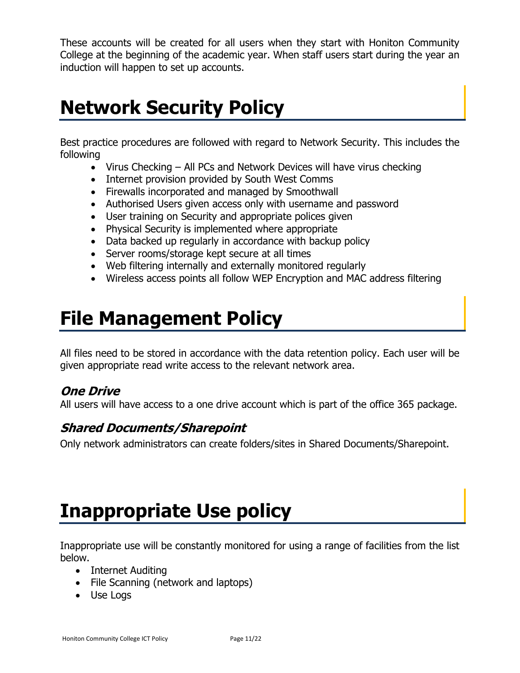These accounts will be created for all users when they start with Honiton Community College at the beginning of the academic year. When staff users start during the year an induction will happen to set up accounts.

# <span id="page-10-0"></span>**Network Security Policy**

Best practice procedures are followed with regard to Network Security. This includes the following

- Virus Checking All PCs and Network Devices will have virus checking
- Internet provision provided by South West Comms
- Firewalls incorporated and managed by Smoothwall
- Authorised Users given access only with username and password
- User training on Security and appropriate polices given
- Physical Security is implemented where appropriate
- Data backed up regularly in accordance with backup policy
- Server rooms/storage kept secure at all times
- Web filtering internally and externally monitored regularly
- Wireless access points all follow WEP Encryption and MAC address filtering

# <span id="page-10-1"></span>**File Management Policy**

All files need to be stored in accordance with the data retention policy. Each user will be given appropriate read write access to the relevant network area.

## **One Drive**

All users will have access to a one drive account which is part of the office 365 package.

## <span id="page-10-2"></span>**Shared Documents/Sharepoint**

Only network administrators can create folders/sites in Shared Documents/Sharepoint.

# <span id="page-10-3"></span>**Inappropriate Use policy**

Inappropriate use will be constantly monitored for using a range of facilities from the list below.

- Internet Auditing
- File Scanning (network and laptops)
- Use Logs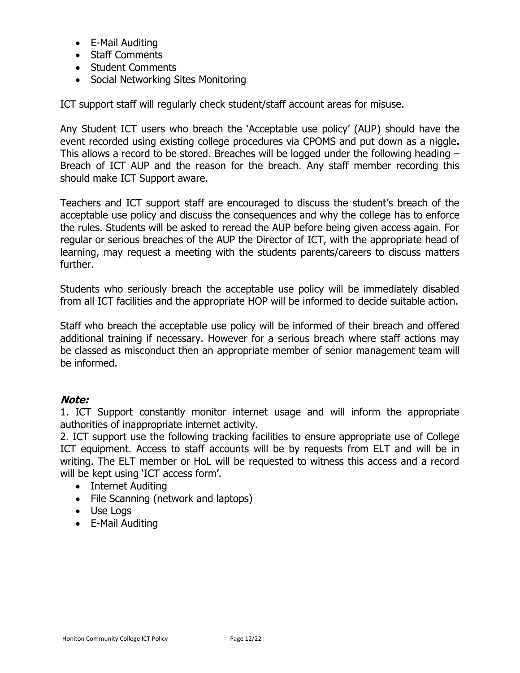- E-Mail Auditing
- Staff Comments
- Student Comments
- Social Networking Sites Monitoring

ICT support staff will regularly check student/staff account areas for misuse.

Any Student ICT users who breach the 'Acceptable use policy' (AUP) should have the event recorded using existing college procedures via CPOMS and put down as a niggle**.**  This allows a record to be stored. Breaches will be logged under the following heading – Breach of ICT AUP and the reason for the breach. Any staff member recording this should make ICT Support aware.

Teachers and ICT support staff are encouraged to discuss the student's breach of the acceptable use policy and discuss the consequences and why the college has to enforce the rules. Students will be asked to reread the AUP before being given access again. For regular or serious breaches of the AUP the Director of ICT, with the appropriate head of learning, may request a meeting with the students parents/careers to discuss matters further.

Students who seriously breach the acceptable use policy will be immediately disabled from all ICT facilities and the appropriate HOP will be informed to decide suitable action.

Staff who breach the acceptable use policy will be informed of their breach and offered additional training if necessary. However for a serious breach where staff actions may be classed as misconduct then an appropriate member of senior management team will be informed.

### **Note:**

1. ICT Support constantly monitor internet usage and will inform the appropriate authorities of inappropriate internet activity.

2. ICT support use the following tracking facilities to ensure appropriate use of College ICT equipment. Access to staff accounts will be by requests from ELT and will be in writing. The ELT member or HoL will be requested to witness this access and a record will be kept using 'ICT access form'.

- Internet Auditing
- File Scanning (network and laptops)
- Use Logs
- E-Mail Auditing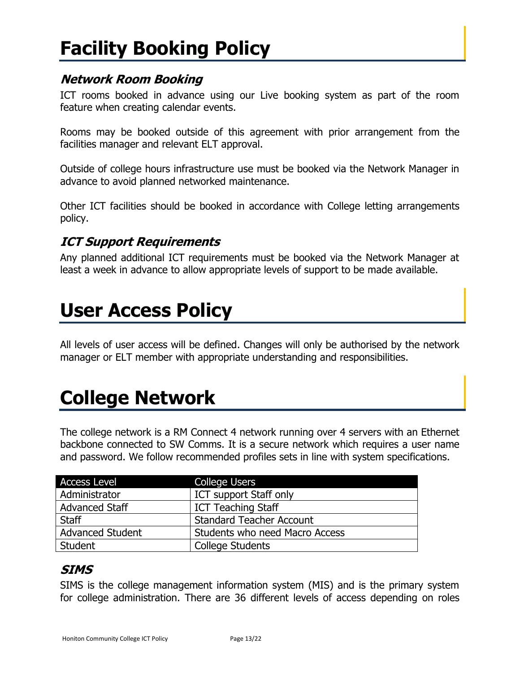# <span id="page-12-0"></span>**Facility Booking Policy**

## <span id="page-12-1"></span>**Network Room Booking**

ICT rooms booked in advance using our Live booking system as part of the room feature when creating calendar events.

Rooms may be booked outside of this agreement with prior arrangement from the facilities manager and relevant ELT approval.

Outside of college hours infrastructure use must be booked via the Network Manager in advance to avoid planned networked maintenance.

Other ICT facilities should be booked in accordance with College letting arrangements policy.

## <span id="page-12-2"></span>**ICT Support Requirements**

Any planned additional ICT requirements must be booked via the Network Manager at least a week in advance to allow appropriate levels of support to be made available.

## <span id="page-12-3"></span>**User Access Policy**

All levels of user access will be defined. Changes will only be authorised by the network manager or ELT member with appropriate understanding and responsibilities.

# <span id="page-12-4"></span>**College Network**

The college network is a RM Connect 4 network running over 4 servers with an Ethernet backbone connected to SW Comms. It is a secure network which requires a user name and password. We follow recommended profiles sets in line with system specifications.

| <b>Access Level</b>     | <b>College Users</b>            |
|-------------------------|---------------------------------|
| Administrator           | <b>ICT support Staff only</b>   |
| <b>Advanced Staff</b>   | <b>ICT Teaching Staff</b>       |
| Staff                   | <b>Standard Teacher Account</b> |
| <b>Advanced Student</b> | Students who need Macro Access  |
| Student                 | <b>College Students</b>         |
|                         |                                 |

## <span id="page-12-5"></span>**SIMS**

SIMS is the college management information system (MIS) and is the primary system for college administration. There are 36 different levels of access depending on roles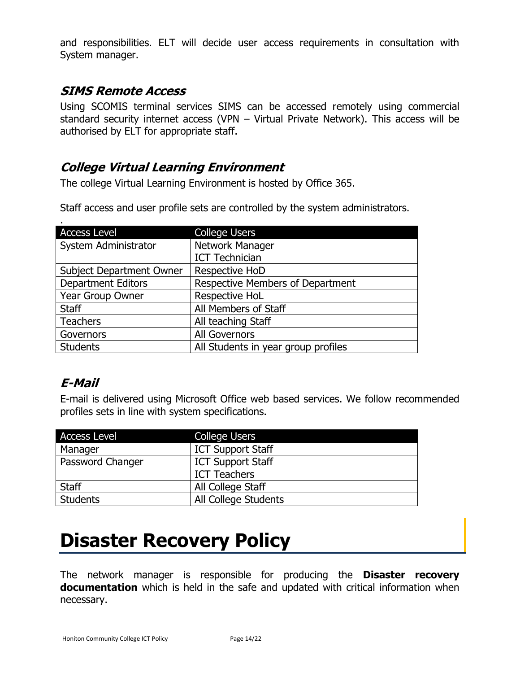and responsibilities. ELT will decide user access requirements in consultation with System manager.

## <span id="page-13-0"></span>**SIMS Remote Access**

Using SCOMIS terminal services SIMS can be accessed remotely using commercial standard security internet access (VPN – Virtual Private Network). This access will be authorised by ELT for appropriate staff.

## <span id="page-13-1"></span>**College Virtual Learning Environment**

The college Virtual Learning Environment is hosted by Office 365.

Staff access and user profile sets are controlled by the system administrators.

| <b>Access Level</b>             | <b>College Users</b>                    |
|---------------------------------|-----------------------------------------|
| System Administrator            | Network Manager                         |
|                                 | <b>ICT Technician</b>                   |
| <b>Subject Department Owner</b> | Respective HoD                          |
| <b>Department Editors</b>       | <b>Respective Members of Department</b> |
| Year Group Owner                | Respective HoL                          |
| <b>Staff</b>                    | All Members of Staff                    |
| <b>Teachers</b>                 | All teaching Staff                      |
| Governors                       | <b>All Governors</b>                    |
| <b>Students</b>                 | All Students in year group profiles     |

## <span id="page-13-2"></span>**E-Mail**

E-mail is delivered using Microsoft Office web based services. We follow recommended profiles sets in line with system specifications.

| <b>Access Level</b> | <b>College Users</b>     |
|---------------------|--------------------------|
| Manager             | <b>ICT Support Staff</b> |
| Password Changer    | <b>ICT Support Staff</b> |
|                     | <b>ICT Teachers</b>      |
| <b>Staff</b>        | All College Staff        |
| <b>Students</b>     | All College Students     |

# <span id="page-13-3"></span>**Disaster Recovery Policy**

The network manager is responsible for producing the **Disaster recovery documentation** which is held in the safe and updated with critical information when necessary.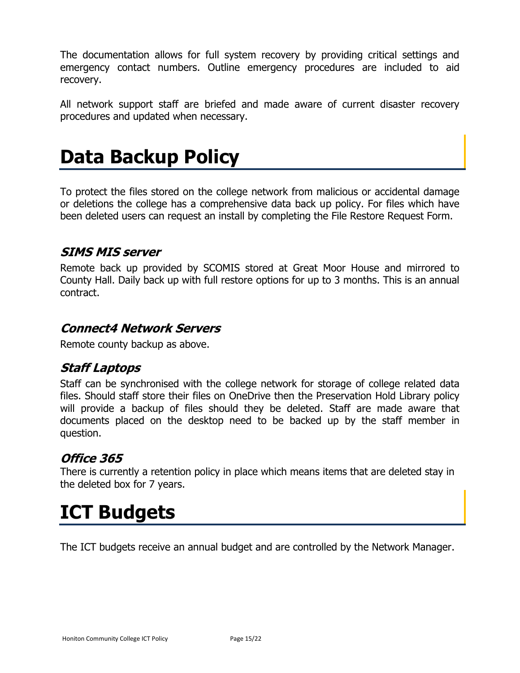The documentation allows for full system recovery by providing critical settings and emergency contact numbers. Outline emergency procedures are included to aid recovery.

All network support staff are briefed and made aware of current disaster recovery procedures and updated when necessary.

# <span id="page-14-0"></span>**Data Backup Policy**

To protect the files stored on the college network from malicious or accidental damage or deletions the college has a comprehensive data back up policy. For files which have been deleted users can request an install by completing the File Restore Request Form.

## <span id="page-14-1"></span>**SIMS MIS server**

Remote back up provided by SCOMIS stored at Great Moor House and mirrored to County Hall. Daily back up with full restore options for up to 3 months. This is an annual contract.

## <span id="page-14-2"></span>**Connect4 Network Servers**

<span id="page-14-3"></span>Remote county backup as above.

## **Staff Laptops**

Staff can be synchronised with the college network for storage of college related data files. Should staff store their files on OneDrive then the Preservation Hold Library policy will provide a backup of files should they be deleted. Staff are made aware that documents placed on the desktop need to be backed up by the staff member in question.

## **Office 365**

There is currently a retention policy in place which means items that are deleted stay in the deleted box for 7 years.

## <span id="page-14-4"></span>**ICT Budgets**

The ICT budgets receive an annual budget and are controlled by the Network Manager.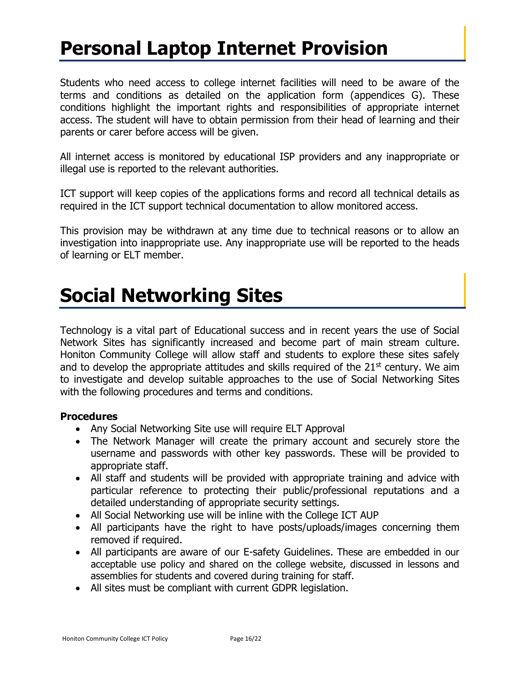## <span id="page-15-0"></span>**Personal Laptop Internet Provision**

Students who need access to college internet facilities will need to be aware of the terms and conditions as detailed on the application form (appendices G). These conditions highlight the important rights and responsibilities of appropriate internet access. The student will have to obtain permission from their head of learning and their parents or carer before access will be given.

All internet access is monitored by educational ISP providers and any inappropriate or illegal use is reported to the relevant authorities.

ICT support will keep copies of the applications forms and record all technical details as required in the ICT support technical documentation to allow monitored access.

This provision may be withdrawn at any time due to technical reasons or to allow an investigation into inappropriate use. Any inappropriate use will be reported to the heads of learning or ELT member.

## <span id="page-15-1"></span>**Social Networking Sites**

Technology is a vital part of Educational success and in recent years the use of Social Network Sites has significantly increased and become part of main stream culture. Honiton Community College will allow staff and students to explore these sites safely and to develop the appropriate attitudes and skills required of the  $21<sup>st</sup>$  century. We aim to investigate and develop suitable approaches to the use of Social Networking Sites with the following procedures and terms and conditions.

#### **Procedures**

- Any Social Networking Site use will require ELT Approval
- The Network Manager will create the primary account and securely store the username and passwords with other key passwords. These will be provided to appropriate staff.
- All staff and students will be provided with appropriate training and advice with particular reference to protecting their public/professional reputations and a detailed understanding of appropriate security settings.
- All Social Networking use will be inline with the College ICT AUP
- All participants have the right to have posts/uploads/images concerning them removed if required.
- All participants are aware of our E-safety Guidelines. These are embedded in our acceptable use policy and shared on the college website, discussed in lessons and assemblies for students and covered during training for staff.
- All sites must be compliant with current GDPR legislation.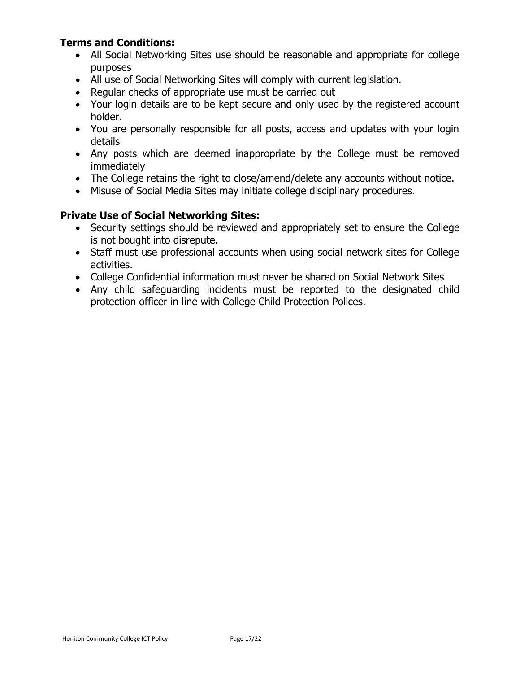#### **Terms and Conditions:**

- All Social Networking Sites use should be reasonable and appropriate for college purposes
- All use of Social Networking Sites will comply with current legislation.
- Regular checks of appropriate use must be carried out
- Your login details are to be kept secure and only used by the registered account holder.
- You are personally responsible for all posts, access and updates with your login details
- Any posts which are deemed inappropriate by the College must be removed immediately
- The College retains the right to close/amend/delete any accounts without notice.
- Misuse of Social Media Sites may initiate college disciplinary procedures.

#### **Private Use of Social Networking Sites:**

- Security settings should be reviewed and appropriately set to ensure the College is not bought into disrepute.
- Staff must use professional accounts when using social network sites for College activities.
- College Confidential information must never be shared on Social Network Sites
- Any child safeguarding incidents must be reported to the designated child protection officer in line with College Child Protection Polices.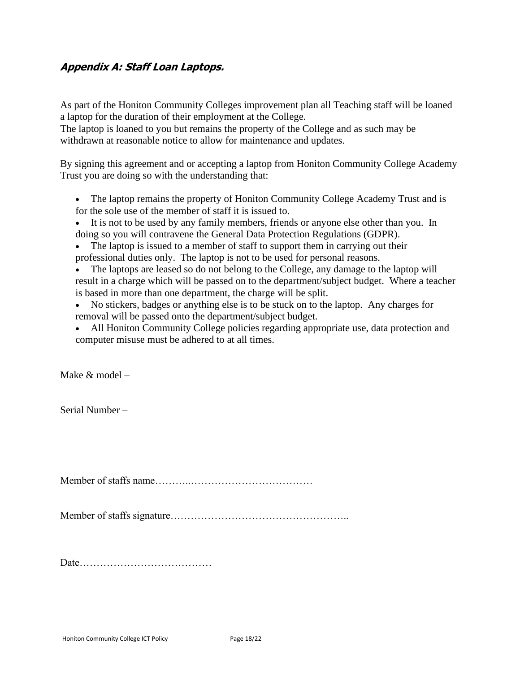### **Appendix A: Staff Loan Laptops.**

As part of the Honiton Community Colleges improvement plan all Teaching staff will be loaned a laptop for the duration of their employment at the College.

The laptop is loaned to you but remains the property of the College and as such may be withdrawn at reasonable notice to allow for maintenance and updates.

By signing this agreement and or accepting a laptop from Honiton Community College Academy Trust you are doing so with the understanding that:

- The laptop remains the property of Honiton Community College Academy Trust and is for the sole use of the member of staff it is issued to.
- It is not to be used by any family members, friends or anyone else other than you. In doing so you will contravene the General Data Protection Regulations (GDPR).
- The laptop is issued to a member of staff to support them in carrying out their professional duties only. The laptop is not to be used for personal reasons.

• The laptops are leased so do not belong to the College, any damage to the laptop will result in a charge which will be passed on to the department/subject budget. Where a teacher is based in more than one department, the charge will be split.

- No stickers, badges or anything else is to be stuck on to the laptop. Any charges for removal will be passed onto the department/subject budget.
- All Honiton Community College policies regarding appropriate use, data protection and computer misuse must be adhered to at all times.

Make & model –

Serial Number –

Member of staffs name………..………………………………

Member of staffs signature……………………………………………..

Date…………………………………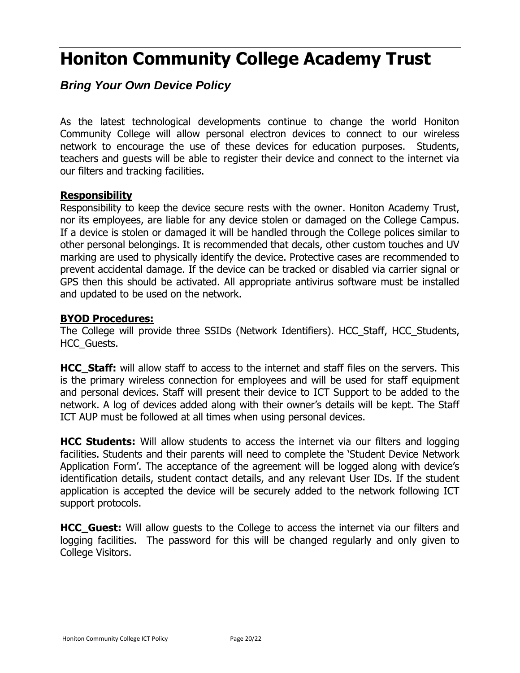## **Honiton Community College Academy Trust**

## *Bring Your Own Device Policy*

As the latest technological developments continue to change the world Honiton Community College will allow personal electron devices to connect to our wireless network to encourage the use of these devices for education purposes. Students, teachers and guests will be able to register their device and connect to the internet via our filters and tracking facilities.

#### **Responsibility**

Responsibility to keep the device secure rests with the owner. Honiton Academy Trust, nor its employees, are liable for any device stolen or damaged on the College Campus. If a device is stolen or damaged it will be handled through the College polices similar to other personal belongings. It is recommended that decals, other custom touches and UV marking are used to physically identify the device. Protective cases are recommended to prevent accidental damage. If the device can be tracked or disabled via carrier signal or GPS then this should be activated. All appropriate antivirus software must be installed and updated to be used on the network.

#### **BYOD Procedures:**

The College will provide three SSIDs (Network Identifiers). HCC\_Staff, HCC\_Students, HCC\_Guests.

**HCC Staff:** will allow staff to access to the internet and staff files on the servers. This is the primary wireless connection for employees and will be used for staff equipment and personal devices. Staff will present their device to ICT Support to be added to the network. A log of devices added along with their owner's details will be kept. The Staff ICT AUP must be followed at all times when using personal devices.

**HCC Students:** Will allow students to access the internet via our filters and logging facilities. Students and their parents will need to complete the 'Student Device Network Application Form'. The acceptance of the agreement will be logged along with device's identification details, student contact details, and any relevant User IDs. If the student application is accepted the device will be securely added to the network following ICT support protocols.

**HCC\_Guest:** Will allow guests to the College to access the internet via our filters and logging facilities. The password for this will be changed regularly and only given to College Visitors.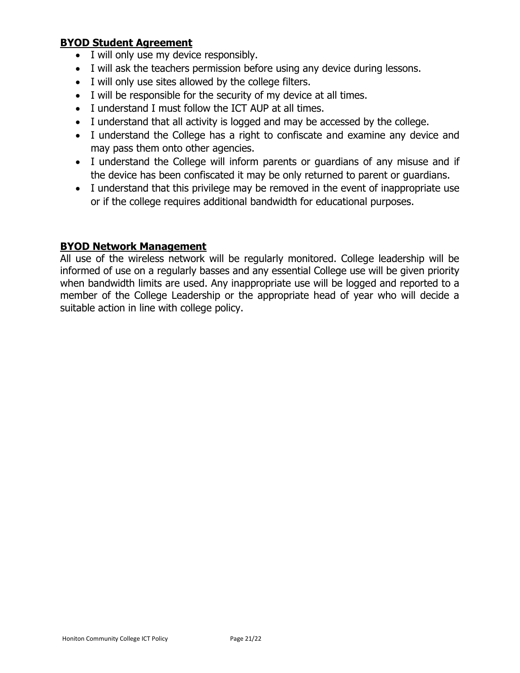#### **BYOD Student Agreement**

- I will only use my device responsibly.
- I will ask the teachers permission before using any device during lessons.
- I will only use sites allowed by the college filters.
- I will be responsible for the security of my device at all times.
- I understand I must follow the ICT AUP at all times.
- I understand that all activity is logged and may be accessed by the college.
- I understand the College has a right to confiscate and examine any device and may pass them onto other agencies.
- I understand the College will inform parents or guardians of any misuse and if the device has been confiscated it may be only returned to parent or guardians.
- I understand that this privilege may be removed in the event of inappropriate use or if the college requires additional bandwidth for educational purposes.

#### **BYOD Network Management**

All use of the wireless network will be regularly monitored. College leadership will be informed of use on a regularly basses and any essential College use will be given priority when bandwidth limits are used. Any inappropriate use will be logged and reported to a member of the College Leadership or the appropriate head of year who will decide a suitable action in line with college policy.